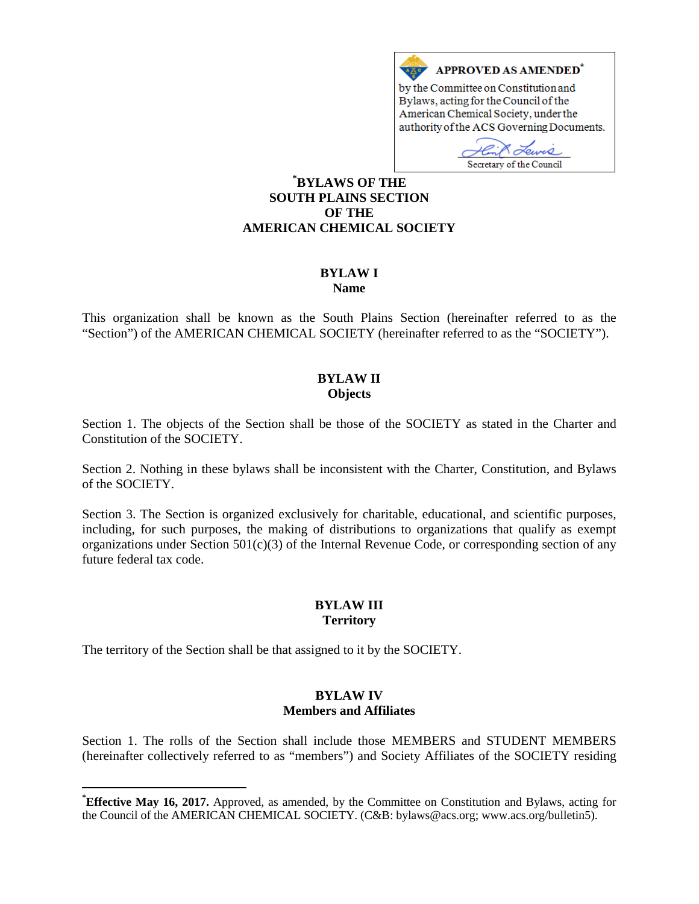

# **[\\*](#page-0-0) BYLAWS OF THE SOUTH PLAINS SECTION OF THE AMERICAN CHEMICAL SOCIETY**

#### **BYLAW I Name**

This organization shall be known as the South Plains Section (hereinafter referred to as the "Section") of the AMERICAN CHEMICAL SOCIETY (hereinafter referred to as the "SOCIETY").

# **BYLAW II Objects**

Section 1. The objects of the Section shall be those of the SOCIETY as stated in the Charter and Constitution of the SOCIETY.

Section 2. Nothing in these bylaws shall be inconsistent with the Charter, Constitution, and Bylaws of the SOCIETY.

Section 3. The Section is organized exclusively for charitable, educational, and scientific purposes, including, for such purposes, the making of distributions to organizations that qualify as exempt organizations under Section  $501(c)(3)$  of the Internal Revenue Code, or corresponding section of any future federal tax code.

# **BYLAW III Territory**

The territory of the Section shall be that assigned to it by the SOCIETY.

### **BYLAW IV Members and Affiliates**

Section 1. The rolls of the Section shall include those MEMBERS and STUDENT MEMBERS (hereinafter collectively referred to as "members") and Society Affiliates of the SOCIETY residing

<span id="page-0-0"></span>**\* Effective May 16, 2017.** Approved, as amended, by the Committee on Constitution and Bylaws, acting for the Council of the AMERICAN CHEMICAL SOCIETY. (C&B: bylaws@acs.org; www.acs.org/bulletin5).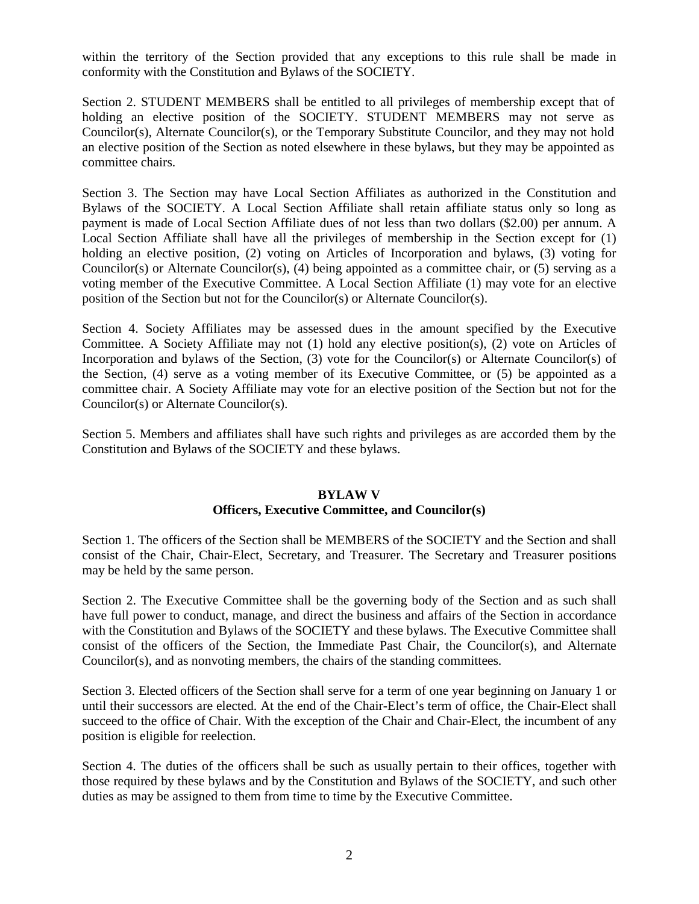within the territory of the Section provided that any exceptions to this rule shall be made in conformity with the Constitution and Bylaws of the SOCIETY.

Section 2. STUDENT MEMBERS shall be entitled to all privileges of membership except that of holding an elective position of the SOCIETY. STUDENT MEMBERS may not serve as Councilor(s), Alternate Councilor(s), or the Temporary Substitute Councilor, and they may not hold an elective position of the Section as noted elsewhere in these bylaws, but they may be appointed as committee chairs.

Section 3. The Section may have Local Section Affiliates as authorized in the Constitution and Bylaws of the SOCIETY. A Local Section Affiliate shall retain affiliate status only so long as payment is made of Local Section Affiliate dues of not less than two dollars (\$2.00) per annum. A Local Section Affiliate shall have all the privileges of membership in the Section except for (1) holding an elective position, (2) voting on Articles of Incorporation and bylaws, (3) voting for Councilor(s) or Alternate Councilor(s), (4) being appointed as a committee chair, or (5) serving as a voting member of the Executive Committee. A Local Section Affiliate (1) may vote for an elective position of the Section but not for the Councilor(s) or Alternate Councilor(s).

Section 4. Society Affiliates may be assessed dues in the amount specified by the Executive Committee. A Society Affiliate may not (1) hold any elective position(s), (2) vote on Articles of Incorporation and bylaws of the Section, (3) vote for the Councilor(s) or Alternate Councilor(s) of the Section, (4) serve as a voting member of its Executive Committee, or (5) be appointed as a committee chair. A Society Affiliate may vote for an elective position of the Section but not for the Councilor(s) or Alternate Councilor(s).

Section 5. Members and affiliates shall have such rights and privileges as are accorded them by the Constitution and Bylaws of the SOCIETY and these bylaws.

#### **BYLAW V**

# **Officers, Executive Committee, and Councilor(s)**

Section 1. The officers of the Section shall be MEMBERS of the SOCIETY and the Section and shall consist of the Chair, Chair-Elect, Secretary, and Treasurer. The Secretary and Treasurer positions may be held by the same person.

Section 2. The Executive Committee shall be the governing body of the Section and as such shall have full power to conduct, manage, and direct the business and affairs of the Section in accordance with the Constitution and Bylaws of the SOCIETY and these bylaws. The Executive Committee shall consist of the officers of the Section, the Immediate Past Chair, the Councilor(s), and Alternate Councilor(s), and as nonvoting members, the chairs of the standing committees.

Section 3. Elected officers of the Section shall serve for a term of one year beginning on January 1 or until their successors are elected. At the end of the Chair-Elect's term of office, the Chair-Elect shall succeed to the office of Chair. With the exception of the Chair and Chair-Elect, the incumbent of any position is eligible for reelection.

Section 4. The duties of the officers shall be such as usually pertain to their offices, together with those required by these bylaws and by the Constitution and Bylaws of the SOCIETY, and such other duties as may be assigned to them from time to time by the Executive Committee.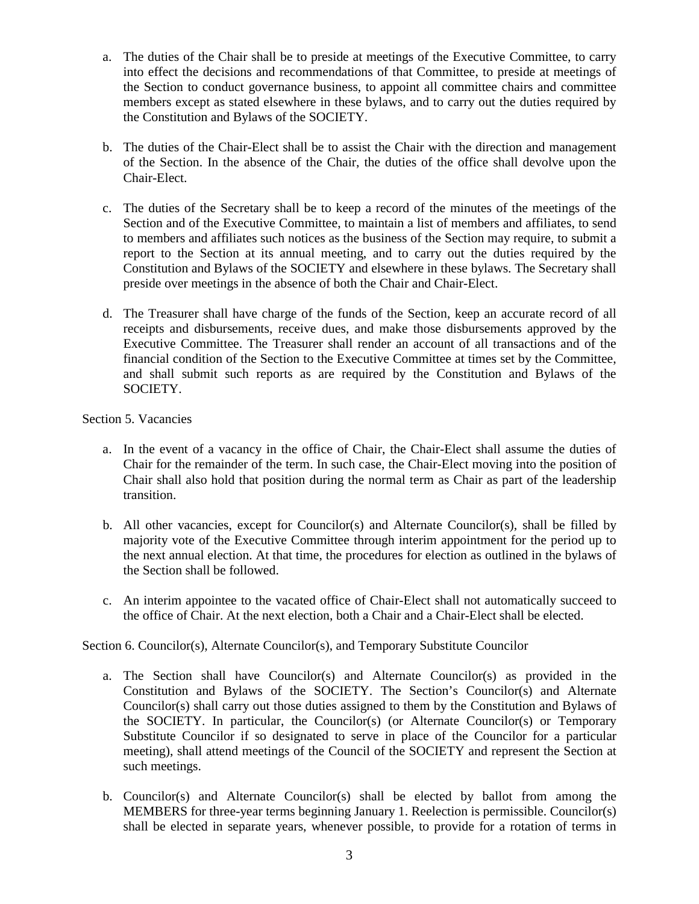- a. The duties of the Chair shall be to preside at meetings of the Executive Committee, to carry into effect the decisions and recommendations of that Committee, to preside at meetings of the Section to conduct governance business, to appoint all committee chairs and committee members except as stated elsewhere in these bylaws, and to carry out the duties required by the Constitution and Bylaws of the SOCIETY.
- b. The duties of the Chair-Elect shall be to assist the Chair with the direction and management of the Section. In the absence of the Chair, the duties of the office shall devolve upon the Chair-Elect.
- c. The duties of the Secretary shall be to keep a record of the minutes of the meetings of the Section and of the Executive Committee, to maintain a list of members and affiliates, to send to members and affiliates such notices as the business of the Section may require, to submit a report to the Section at its annual meeting, and to carry out the duties required by the Constitution and Bylaws of the SOCIETY and elsewhere in these bylaws. The Secretary shall preside over meetings in the absence of both the Chair and Chair-Elect.
- d. The Treasurer shall have charge of the funds of the Section, keep an accurate record of all receipts and disbursements, receive dues, and make those disbursements approved by the Executive Committee. The Treasurer shall render an account of all transactions and of the financial condition of the Section to the Executive Committee at times set by the Committee, and shall submit such reports as are required by the Constitution and Bylaws of the SOCIETY.

Section 5. Vacancies

- a. In the event of a vacancy in the office of Chair, the Chair-Elect shall assume the duties of Chair for the remainder of the term. In such case, the Chair-Elect moving into the position of Chair shall also hold that position during the normal term as Chair as part of the leadership transition.
- b. All other vacancies, except for Councilor(s) and Alternate Councilor(s), shall be filled by majority vote of the Executive Committee through interim appointment for the period up to the next annual election. At that time, the procedures for election as outlined in the bylaws of the Section shall be followed.
- c. An interim appointee to the vacated office of Chair-Elect shall not automatically succeed to the office of Chair. At the next election, both a Chair and a Chair-Elect shall be elected.

Section 6. Councilor(s), Alternate Councilor(s), and Temporary Substitute Councilor

- a. The Section shall have Councilor(s) and Alternate Councilor(s) as provided in the Constitution and Bylaws of the SOCIETY. The Section's Councilor(s) and Alternate Councilor(s) shall carry out those duties assigned to them by the Constitution and Bylaws of the SOCIETY. In particular, the Councilor(s) (or Alternate Councilor(s) or Temporary Substitute Councilor if so designated to serve in place of the Councilor for a particular meeting), shall attend meetings of the Council of the SOCIETY and represent the Section at such meetings.
- b. Councilor(s) and Alternate Councilor(s) shall be elected by ballot from among the MEMBERS for three-year terms beginning January 1. Reelection is permissible. Councilor(s) shall be elected in separate years, whenever possible, to provide for a rotation of terms in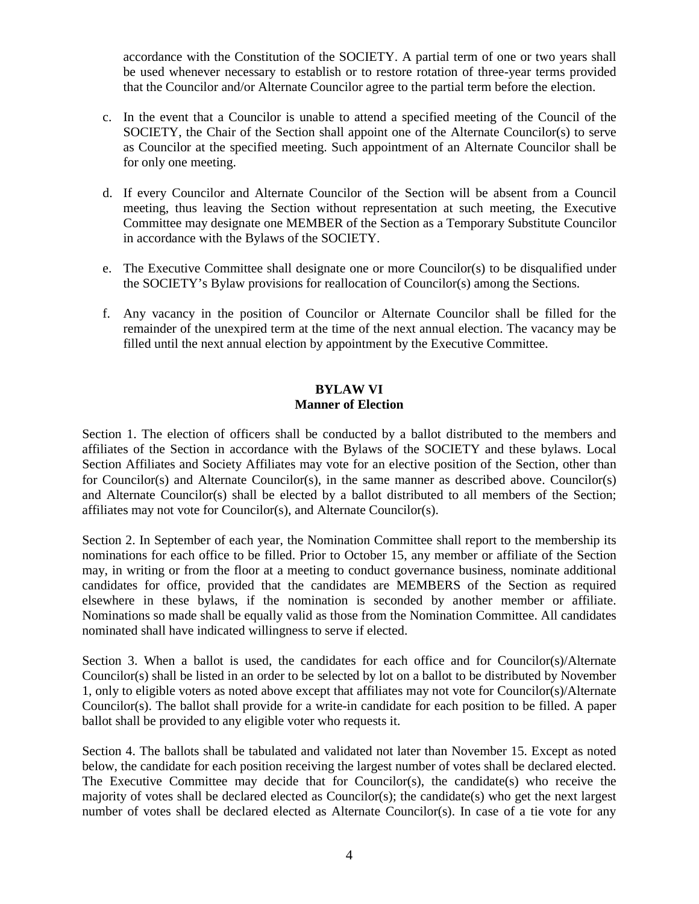accordance with the Constitution of the SOCIETY. A partial term of one or two years shall be used whenever necessary to establish or to restore rotation of three-year terms provided that the Councilor and/or Alternate Councilor agree to the partial term before the election.

- c. In the event that a Councilor is unable to attend a specified meeting of the Council of the SOCIETY, the Chair of the Section shall appoint one of the Alternate Councilor(s) to serve as Councilor at the specified meeting. Such appointment of an Alternate Councilor shall be for only one meeting.
- d. If every Councilor and Alternate Councilor of the Section will be absent from a Council meeting, thus leaving the Section without representation at such meeting, the Executive Committee may designate one MEMBER of the Section as a Temporary Substitute Councilor in accordance with the Bylaws of the SOCIETY.
- e. The Executive Committee shall designate one or more Councilor(s) to be disqualified under the SOCIETY's Bylaw provisions for reallocation of Councilor(s) among the Sections.
- f. Any vacancy in the position of Councilor or Alternate Councilor shall be filled for the remainder of the unexpired term at the time of the next annual election. The vacancy may be filled until the next annual election by appointment by the Executive Committee.

### **BYLAW VI Manner of Election**

Section 1. The election of officers shall be conducted by a ballot distributed to the members and affiliates of the Section in accordance with the Bylaws of the SOCIETY and these bylaws. Local Section Affiliates and Society Affiliates may vote for an elective position of the Section, other than for Councilor(s) and Alternate Councilor(s), in the same manner as described above. Councilor(s) and Alternate Councilor(s) shall be elected by a ballot distributed to all members of the Section; affiliates may not vote for Councilor(s), and Alternate Councilor(s).

Section 2. In September of each year, the Nomination Committee shall report to the membership its nominations for each office to be filled. Prior to October 15, any member or affiliate of the Section may, in writing or from the floor at a meeting to conduct governance business, nominate additional candidates for office, provided that the candidates are MEMBERS of the Section as required elsewhere in these bylaws, if the nomination is seconded by another member or affiliate. Nominations so made shall be equally valid as those from the Nomination Committee. All candidates nominated shall have indicated willingness to serve if elected.

Section 3. When a ballot is used, the candidates for each office and for Councilor(s)/Alternate Councilor(s) shall be listed in an order to be selected by lot on a ballot to be distributed by November 1, only to eligible voters as noted above except that affiliates may not vote for Councilor(s)/Alternate Councilor(s). The ballot shall provide for a write-in candidate for each position to be filled. A paper ballot shall be provided to any eligible voter who requests it.

Section 4. The ballots shall be tabulated and validated not later than November 15. Except as noted below, the candidate for each position receiving the largest number of votes shall be declared elected. The Executive Committee may decide that for Councilor(s), the candidate(s) who receive the majority of votes shall be declared elected as Councilor(s); the candidate(s) who get the next largest number of votes shall be declared elected as Alternate Councilor(s). In case of a tie vote for any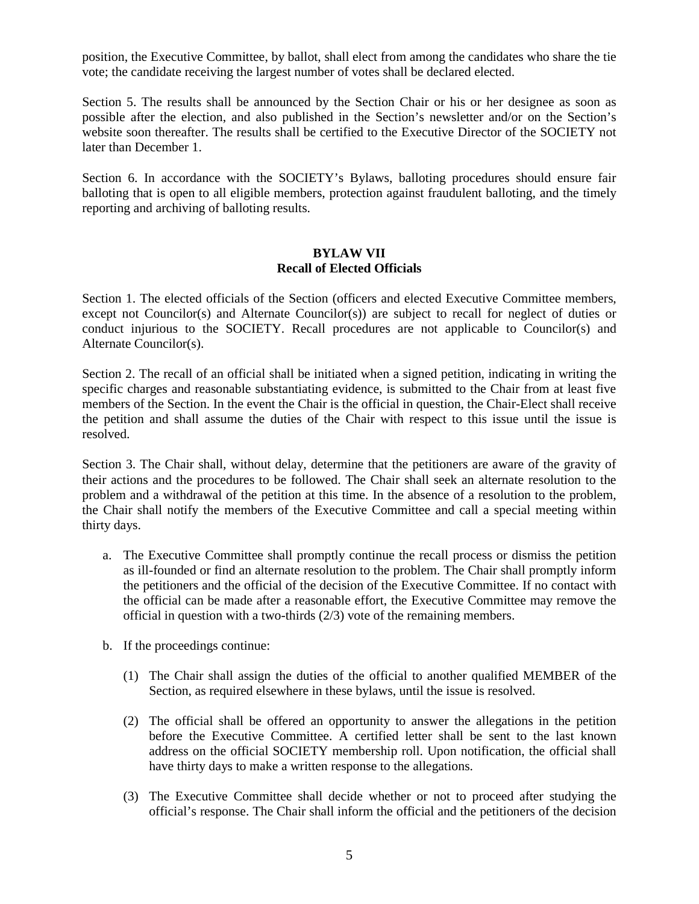position, the Executive Committee, by ballot, shall elect from among the candidates who share the tie vote; the candidate receiving the largest number of votes shall be declared elected.

Section 5. The results shall be announced by the Section Chair or his or her designee as soon as possible after the election, and also published in the Section's newsletter and/or on the Section's website soon thereafter. The results shall be certified to the Executive Director of the SOCIETY not later than December 1.

Section 6. In accordance with the SOCIETY's Bylaws, balloting procedures should ensure fair balloting that is open to all eligible members, protection against fraudulent balloting, and the timely reporting and archiving of balloting results.

### **BYLAW VII Recall of Elected Officials**

Section 1. The elected officials of the Section (officers and elected Executive Committee members, except not Councilor(s) and Alternate Councilor(s)) are subject to recall for neglect of duties or conduct injurious to the SOCIETY. Recall procedures are not applicable to Councilor(s) and Alternate Councilor(s).

Section 2. The recall of an official shall be initiated when a signed petition, indicating in writing the specific charges and reasonable substantiating evidence, is submitted to the Chair from at least five members of the Section. In the event the Chair is the official in question, the Chair-Elect shall receive the petition and shall assume the duties of the Chair with respect to this issue until the issue is resolved.

Section 3. The Chair shall, without delay, determine that the petitioners are aware of the gravity of their actions and the procedures to be followed. The Chair shall seek an alternate resolution to the problem and a withdrawal of the petition at this time. In the absence of a resolution to the problem, the Chair shall notify the members of the Executive Committee and call a special meeting within thirty days.

- a. The Executive Committee shall promptly continue the recall process or dismiss the petition as ill-founded or find an alternate resolution to the problem. The Chair shall promptly inform the petitioners and the official of the decision of the Executive Committee. If no contact with the official can be made after a reasonable effort, the Executive Committee may remove the official in question with a two-thirds (2/3) vote of the remaining members.
- b. If the proceedings continue:
	- (1) The Chair shall assign the duties of the official to another qualified MEMBER of the Section, as required elsewhere in these bylaws, until the issue is resolved.
	- (2) The official shall be offered an opportunity to answer the allegations in the petition before the Executive Committee. A certified letter shall be sent to the last known address on the official SOCIETY membership roll. Upon notification, the official shall have thirty days to make a written response to the allegations.
	- (3) The Executive Committee shall decide whether or not to proceed after studying the official's response. The Chair shall inform the official and the petitioners of the decision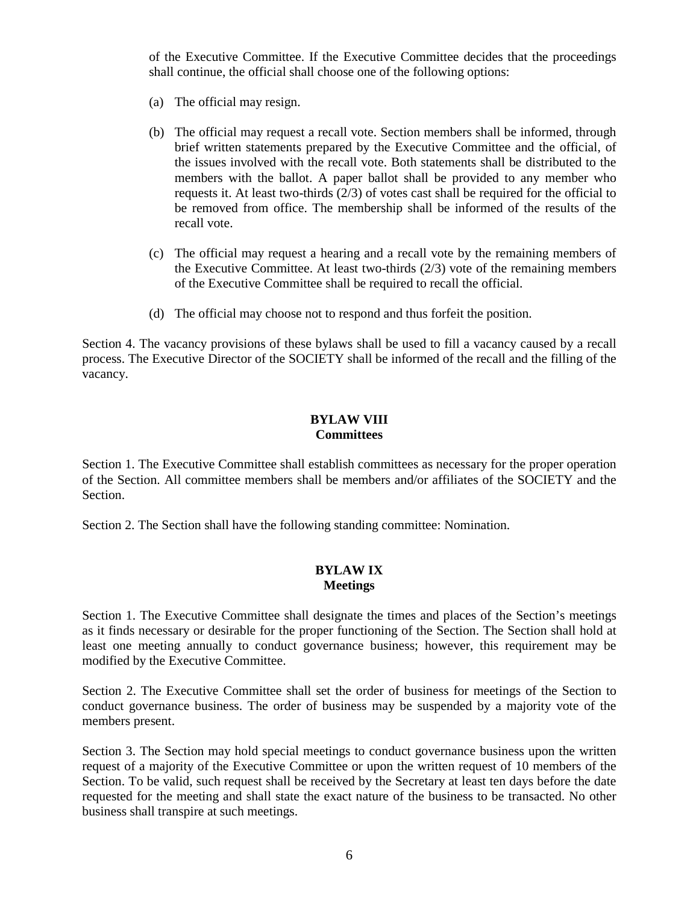of the Executive Committee. If the Executive Committee decides that the proceedings shall continue, the official shall choose one of the following options:

- (a) The official may resign.
- (b) The official may request a recall vote. Section members shall be informed, through brief written statements prepared by the Executive Committee and the official, of the issues involved with the recall vote. Both statements shall be distributed to the members with the ballot. A paper ballot shall be provided to any member who requests it. At least two-thirds (2/3) of votes cast shall be required for the official to be removed from office. The membership shall be informed of the results of the recall vote.
- (c) The official may request a hearing and a recall vote by the remaining members of the Executive Committee. At least two-thirds (2/3) vote of the remaining members of the Executive Committee shall be required to recall the official.
- (d) The official may choose not to respond and thus forfeit the position.

Section 4. The vacancy provisions of these bylaws shall be used to fill a vacancy caused by a recall process. The Executive Director of the SOCIETY shall be informed of the recall and the filling of the vacancy.

# **BYLAW VIII Committees**

Section 1. The Executive Committee shall establish committees as necessary for the proper operation of the Section. All committee members shall be members and/or affiliates of the SOCIETY and the Section.

Section 2. The Section shall have the following standing committee: Nomination.

### **BYLAW IX Meetings**

Section 1. The Executive Committee shall designate the times and places of the Section's meetings as it finds necessary or desirable for the proper functioning of the Section. The Section shall hold at least one meeting annually to conduct governance business; however, this requirement may be modified by the Executive Committee.

Section 2. The Executive Committee shall set the order of business for meetings of the Section to conduct governance business. The order of business may be suspended by a majority vote of the members present.

Section 3. The Section may hold special meetings to conduct governance business upon the written request of a majority of the Executive Committee or upon the written request of 10 members of the Section. To be valid, such request shall be received by the Secretary at least ten days before the date requested for the meeting and shall state the exact nature of the business to be transacted. No other business shall transpire at such meetings.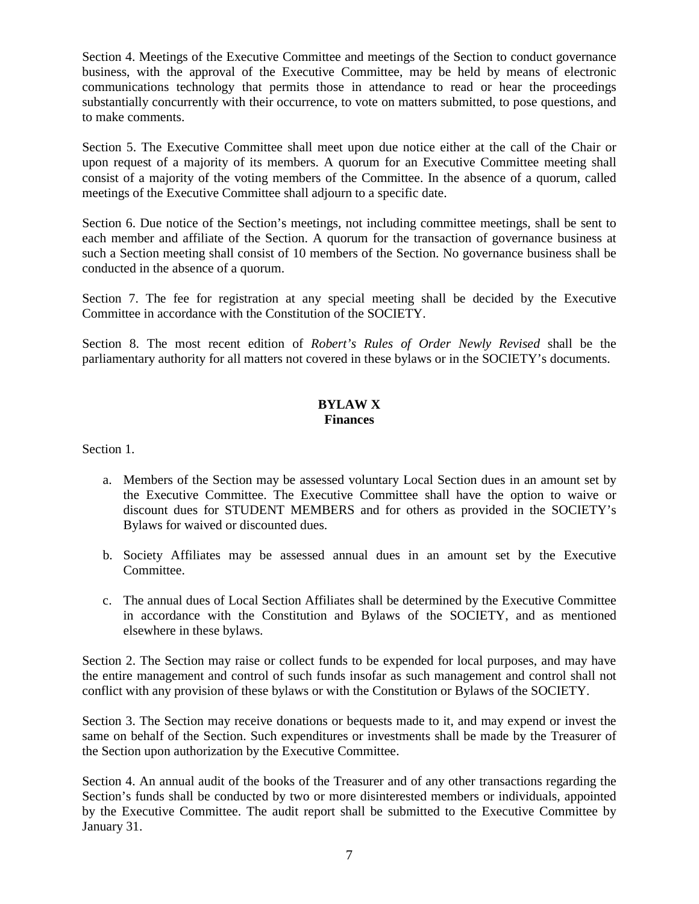Section 4. Meetings of the Executive Committee and meetings of the Section to conduct governance business, with the approval of the Executive Committee, may be held by means of electronic communications technology that permits those in attendance to read or hear the proceedings substantially concurrently with their occurrence, to vote on matters submitted, to pose questions, and to make comments.

Section 5. The Executive Committee shall meet upon due notice either at the call of the Chair or upon request of a majority of its members. A quorum for an Executive Committee meeting shall consist of a majority of the voting members of the Committee. In the absence of a quorum, called meetings of the Executive Committee shall adjourn to a specific date.

Section 6. Due notice of the Section's meetings, not including committee meetings, shall be sent to each member and affiliate of the Section. A quorum for the transaction of governance business at such a Section meeting shall consist of 10 members of the Section. No governance business shall be conducted in the absence of a quorum.

Section 7. The fee for registration at any special meeting shall be decided by the Executive Committee in accordance with the Constitution of the SOCIETY.

Section 8. The most recent edition of *Robert's Rules of Order Newly Revised* shall be the parliamentary authority for all matters not covered in these bylaws or in the SOCIETY's documents.

# **BYLAW X Finances**

Section 1.

- a. Members of the Section may be assessed voluntary Local Section dues in an amount set by the Executive Committee. The Executive Committee shall have the option to waive or discount dues for STUDENT MEMBERS and for others as provided in the SOCIETY's Bylaws for waived or discounted dues.
- b. Society Affiliates may be assessed annual dues in an amount set by the Executive Committee.
- c. The annual dues of Local Section Affiliates shall be determined by the Executive Committee in accordance with the Constitution and Bylaws of the SOCIETY, and as mentioned elsewhere in these bylaws.

Section 2. The Section may raise or collect funds to be expended for local purposes, and may have the entire management and control of such funds insofar as such management and control shall not conflict with any provision of these bylaws or with the Constitution or Bylaws of the SOCIETY.

Section 3. The Section may receive donations or bequests made to it, and may expend or invest the same on behalf of the Section. Such expenditures or investments shall be made by the Treasurer of the Section upon authorization by the Executive Committee.

Section 4. An annual audit of the books of the Treasurer and of any other transactions regarding the Section's funds shall be conducted by two or more disinterested members or individuals, appointed by the Executive Committee. The audit report shall be submitted to the Executive Committee by January 31.